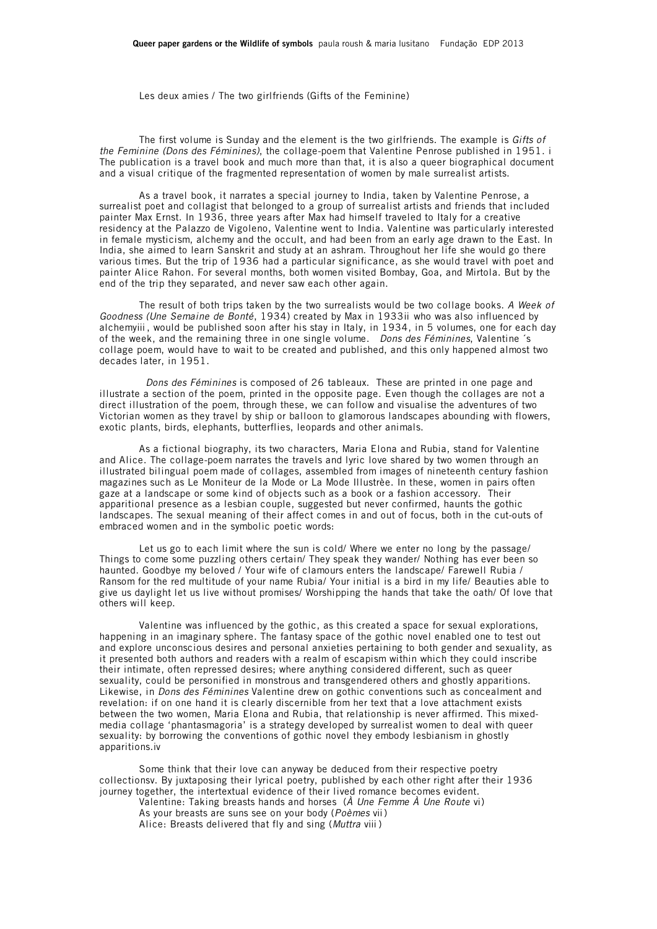Les deux amies / The two girlfriends (Gifts of the Feminine)

The first volume is Sunday and the element is the two girlfriends. The example is *Gifts of the Feminine (Dons des Féminines)*, the collage-poem that Valentine Penrose published in 1951. i The publication is a travel book and much more than that, it is also a queer biographical document and a visual critique of the fragmented representation of women by male surrealist artists.

As a travel book, it narrates a special journey to India, taken by Valentine Penrose, a surrealist poet and collagist that belonged to a group of surrealist artists and friends that included painter Max Ernst. In 1936, three years after Max had himself traveled to Italy for a creative residency at the Palazzo de Vigoleno, Valentine went to India. Valentine was particularly interested in female mysticism, alchemy and the occult, and had been from an early age drawn to the East. In India, she aimed to learn Sanskrit and study at an ashram. Throughout her life she would go there various times. But the trip of 1936 had a particular significance, as she would travel with poet and painter Alice Rahon. For several months, both women visited Bombay, Goa, and Mirtola. But by the end of the trip they separated, and never saw each other again.

The result of both trips taken by the two surrealists would be two collage books. *A Week of Goodness (Une Semaine de Bonté*, 1934) created by Max in 1933ii who was also influenced by alchemyiii , would be published soon after his stay in Italy, in 1934, in 5 volumes, one for each day of the week, and the remaining three in one single volume. *Dons des Féminines*, Valentine ´s collage poem, would have to wait to be created and published, and this only happened almost two decades later, in 1951.

 *Dons des Féminines* is composed of 26 tableaux. These are printed in one page and illustrate a section of the poem, printed in the opposite page. Even though the collages are not a direct illustration of the poem, through these, we can follow and visualise the adventures of two Victorian women as they travel by ship or balloon to glamorous landscapes abounding with flowers, exotic plants, birds, elephants, butterflies, leopards and other animals.

As a fictional biography, its two characters, Maria Elona and Rubia, stand for Valentine and Alice. The collage-poem narrates the travels and lyric love shared by two women through an illustrated bilingual poem made of collages, assembled from images of nineteenth century fashion magazines such as Le Moniteur de la Mode or La Mode Illustrèe. In these, women in pairs often gaze at a landscape or some kind of objects such as a book or a fashion accessory. Their apparitional presence as a lesbian couple, suggested but never confirmed, haunts the gothic landscapes. The sexual meaning of their affect comes in and out of focus, both in the cut-outs of embraced women and in the symbolic poetic words:

Let us go to each limit where the sun is cold/ Where we enter no long by the passage/ Things to come some puzzling others certain/ They speak they wander/ Nothing has ever been so haunted. Goodbye my beloved / Your wife of clamours enters the landscape/ Farewell Rubia / Ransom for the red multitude of your name Rubia/ Your initial is a bird in my life/ Beauties able to give us daylight let us live without promises/ Worshipping the hands that take the oath/ Of love that others will keep.

Valentine was influenced by the gothic, as this created a space for sexual explorations, happening in an imaginary sphere. The fantasy space of the gothic novel enabled one to test out and explore unconscious desires and personal anxieties pertaining to both gender and sexuality, as it presented both authors and readers with a realm of escapism within which they could inscribe their intimate, often repressed desires; where anything considered different, such as queer sexuality, could be personified in monstrous and transgendered others and ghostly apparitions. Likewise, in *Dons des Féminines* Valentine drew on gothic conventions such as concealment and revelation: if on one hand it is clearly discernible from her text that a love attachment exists between the two women, Maria Elona and Rubia, that relationship is never affirmed. This mixedmedia collage 'phantasmagoria' is a strategy developed by surrealist women to deal with queer sexuality: by borrowing the conventions of gothic novel they embody lesbianism in ghostly apparitions.iv

Some think that their love can anyway be deduced from their respective poetry collectionsv. By juxtaposing their lyrical poetry, published by each other right after their 1936 journey together, the intertextual evidence of their lived romance becomes evident. Valentine: Taking breasts hands and horses (*À Une Femme À Une Route* vi)

As your breasts are suns see on your body (*Poèmes* vii) Alice: Breasts delivered that fly and sing (*Muttra* viii )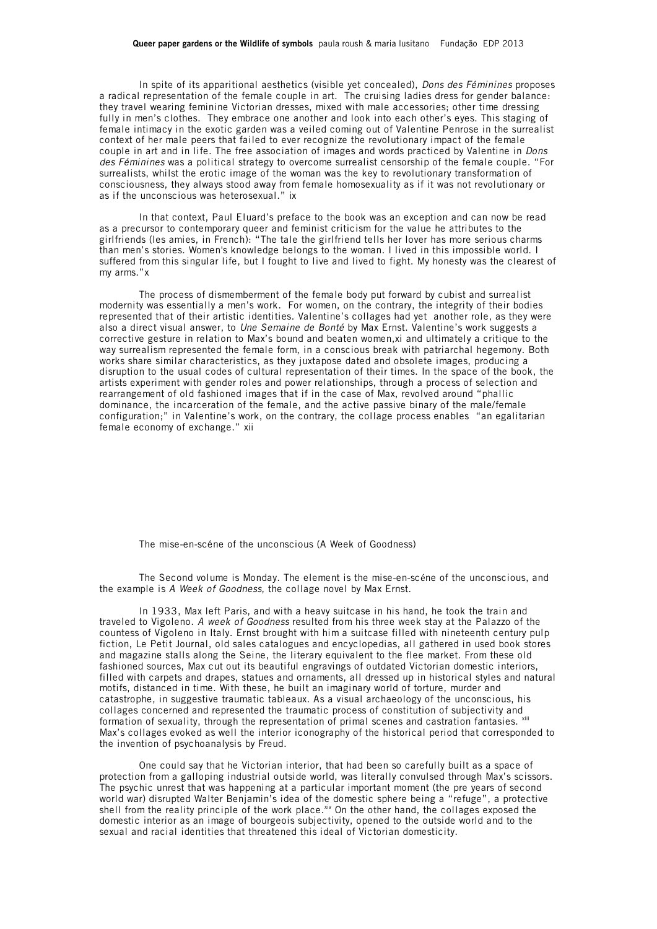## **Queer paper gardens or the Wildlife of symbols** paula roush & maria lusitano Fundação EDP 2013

In spite of its apparitional aesthetics (visible yet concealed), *Dons des Féminines* proposes a radical representation of the female couple in art. The cruising ladies dress for gender balance: they travel wearing feminine Victorian dresses, mixed with male accessories; other time dressing fully in men's clothes. They embrace one another and look into each other's eyes. This staging of female intimacy in the exotic garden was a veiled coming out of Valentine Penrose in the surrealist context of her male peers that failed to ever recognize the revolutionary impact of the female couple in art and in life. The free association of images and words practiced by Valentine in *Dons des Féminines* was a political strategy to overcome surrealist censorship of the female couple. "For surrealists, whilst the erotic image of the woman was the key to revolutionary transformation of consciousness, they always stood away from female homosexuality as if it was not revolutionary or as if the unconscious was heterosexual." ix

In that context, Paul Eluard's preface to the book was an exception and can now be read as a precursor to contemporary queer and feminist criticism for the value he attributes to the girlfriends (les amies, in French): "The tale the girlfriend tells her lover has more serious charms than men's stories. Women's knowledge belongs to the woman. I lived in this impossible world. I suffered from this singular life, but I fought to live and lived to fight. My honesty was the clearest of my arms."x

The process of dismemberment of the female body put forward by cubist and surrealist modernity was essentially a men's work. For women, on the contrary, the integrity of their bodies represented that of their artistic identities. Valentine's collages had yet another role, as they were also a direct visual answer, to *Une Semaine de Bonté* by Max Ernst. Valentine's work suggests a corrective gesture in relation to Max's bound and beaten women, xi and ultimately a critique to the way surrealism represented the female form, in a conscious break with patriarchal hegemony. Both works share similar characteristics, as they juxtapose dated and obsolete images, producing a disruption to the usual codes of cultural representation of their times. In the space of the book, the artists experiment with gender roles and power relationships, through a process of selection and rearrangement of old fashioned images that if in the case of Max, revolved around "phallic dominance, the incarceration of the female, and the active passive binary of the male/female configuration;" in Valentine's work, on the contrary, the collage process enables "an egalitarian female economy of exchange." xii

The mise-en-scéne of the unconscious (A Week of Goodness)

The Second volume is Monday. The element is the mise-en-scéne of the unconscious, and the example is *A Week of Goodness*, the collage novel by Max Ernst.

In 1933, Max left Paris, and with a heavy suitcase in his hand, he took the train and traveled to Vigoleno. *A week of Goodness* resulted from his three week stay at the Palazzo of the countess of Vigoleno in Italy. Ernst brought with him a suitcase filled with nineteenth century pulp fiction, Le Petit Journal, old sales catalogues and encyclopedias, all gathered in used book stores and magazine stalls along the Seine, the literary equivalent to the flee market. From these old fashioned sources, Max cut out its beautiful engravings of outdated Victorian domestic interiors, filled with carpets and drapes, statues and ornaments, all dressed up in historical styles and natural motifs, distanced in time. With these, he built an imaginary world of torture, murder and catastrophe, in suggestive traumatic tableaux. As a visual archaeology of the unconscious, his collages concerned and represented the traumatic process of constitution of subjectivity and formation of sexuality, through the representation of primal scenes and castration fantasies. Xiii Max's collages evoked as well the interior iconography of the historical period that corresponded to the invention of psychoanalysis by Freud.

One could say that he Victorian interior, that had been so carefully built as a space of protection from a galloping industrial outside world, was literally convulsed through Max's scissors. The psychic unrest that was happening at a particular important moment (the pre years of second world war) disrupted Walter Benjamin's idea of the domestic sphere being a "refuge", a protective shell from the reality principle of the work place. $x^i$  On the other hand, the collages exposed the domestic interior as an image of bourgeois subjectivity, opened to the outside world and to the sexual and racial identities that threatened this ideal of Victorian domesticity.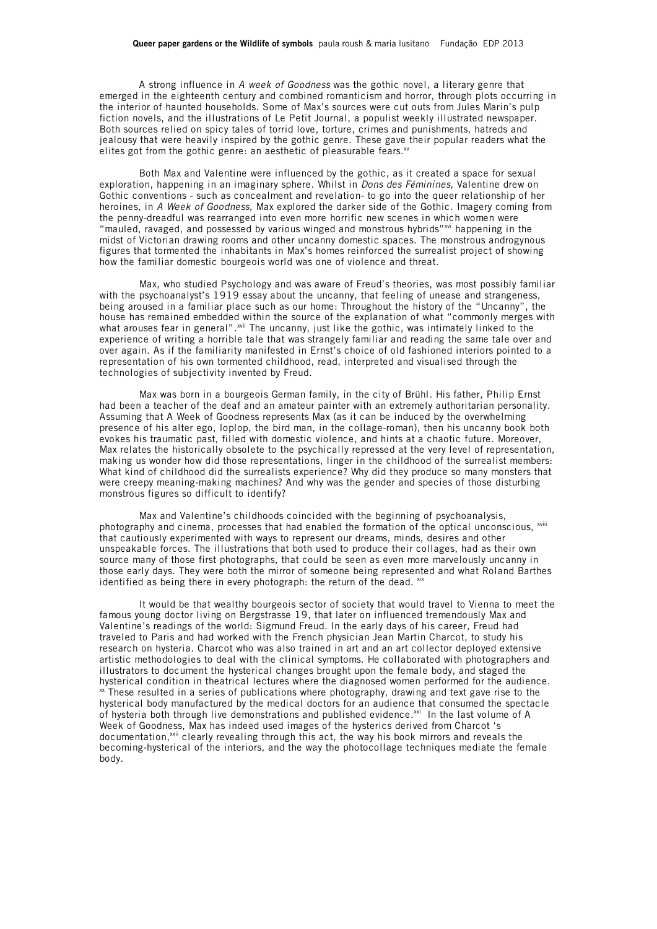## **Queer paper gardens or the Wildlife of symbols** paula roush & maria lusitano Fundação EDP 2013

A strong influence in *A week of Goodness* was the gothic novel, a literary genre that emerged in the eighteenth century and combined romanticism and horror, through plots occurring in the interior of haunted households. Some of Max's sources were cut outs from Jules Marin's pulp fiction novels, and the illustrations of Le Petit Journal, a populist weekly illustrated newspaper. Both sources relied on spicy tales of torrid love, torture, crimes and punishments, hatreds and jealousy that were heavily inspired by the gothic genre. These gave their popular readers what the elites got from the gothic genre: an aesthetic of pleasurable fears.<sup>xv</sup>

Both Max and Valentine were influenced by the gothic, as it created a space for sexual exploration, happening in an imaginary sphere. Whilst in *Dons des Féminines*, Valentine drew on Gothic conventions - such as concealment and revelation- to go into the queer relationship of her heroines, in *A Week of Goodness*, Max explored the darker side of the Gothic. Imagery coming from the penny-dreadful was rearranged into even more horrific new scenes in which women were "mauled, ravaged, and possessed by various winged and monstrous hybrids" $\dot{w}$  happening in the midst of Victorian drawing rooms and other uncanny domestic spaces. The monstrous androgynous figures that tormented the inhabitants in Max's homes reinforced the surrealist project of showing how the familiar domestic bourgeois world was one of violence and threat.

Max, who studied Psychology and was aware of Freud's theories, was most possibly familiar with the psychoanalyst's 1919 essay about the uncanny, that feeling of unease and strangeness, being aroused in a familiar place such as our home: Throughout the history of the "Uncanny", the house has remained embedded within the source of the explanation of what "commonly merges with what arouses fear in general". $^{xvi}$  The uncanny, just like the gothic, was intimately linked to the experience of writing a horrible tale that was strangely familiar and reading the same tale over and over again. As if the familiarity manifested in Ernst's choice of old fashioned interiors pointed to a representation of his own tormented childhood, read, interpreted and visualised through the technologies of subjectivity invented by Freud.

Max was born in a bourgeois German family, in the city of Brühl. His father, Philip Ernst had been a teacher of the deaf and an amateur painter with an extremely authoritarian personality. Assuming that A Week of Goodness represents Max (as it can be induced by the overwhelming presence of his alter ego, loplop, the bird man, in the collage-roman), then his uncanny book both evokes his traumatic past, filled with domestic violence, and hints at a chaotic future. Moreover, Max relates the historically obsolete to the psychically repressed at the very level of representation, making us wonder how did those representations, linger in the childhood of the surrealist members: What kind of childhood did the surrealists experience? Why did they produce so many monsters that were creepy meaning-making machines? And why was the gender and species of those disturbing monstrous figures so difficult to identify?

Max and Valentine's childhoods coincided with the beginning of psychoanalysis, photography and cinema, processes that had enabled the formation of the optical unconscious. xviii that cautiously experimented with ways to represent our dreams, minds, desires and other unspeakable forces. The illustrations that both used to produce their collages, had as their own source many of those first photographs, that could be seen as even more marvelously uncanny in those early days. They were both the mirror of someone being represented and what Roland Barthes identified as being there in every photograph: the return of the dead.  $x<sup>i</sup>$ 

It would be that wealthy bourgeois sector of society that would travel to Vienna to meet the famous young doctor living on Bergstrasse 19, that later on influenced tremendously Max and Valentine's readings of the world: Sigmund Freud. In the early days of his career, Freud had traveled to Paris and had worked with the French physician Jean Martin Charcot, to study his research on hysteria. Charcot who was also trained in art and an art collector deployed extensive artistic methodologies to deal with the clinical symptoms. He collaborated with photographers and illustrators to document the hysterical changes brought upon the female body, and staged the hysterical condition in theatrical lectures where the diagnosed women performed for the audience.  $\frac{x}{x}$  These resulted in a series of publications where photography, drawing and text gave rise to the hysterical body manufactured by the medical doctors for an audience that consumed the spectacle of hysteria both through live demonstrations and published evidence.<sup>xxi</sup> In the last volume of A Week of Goodness, Max has indeed used images of the hysterics derived from Charcot 's documentation,<sup>xxii</sup> clearly revealing through this act, the way his book mirrors and reveals the becoming-hysterical of the interiors, and the way the photocollage techniques mediate the female body.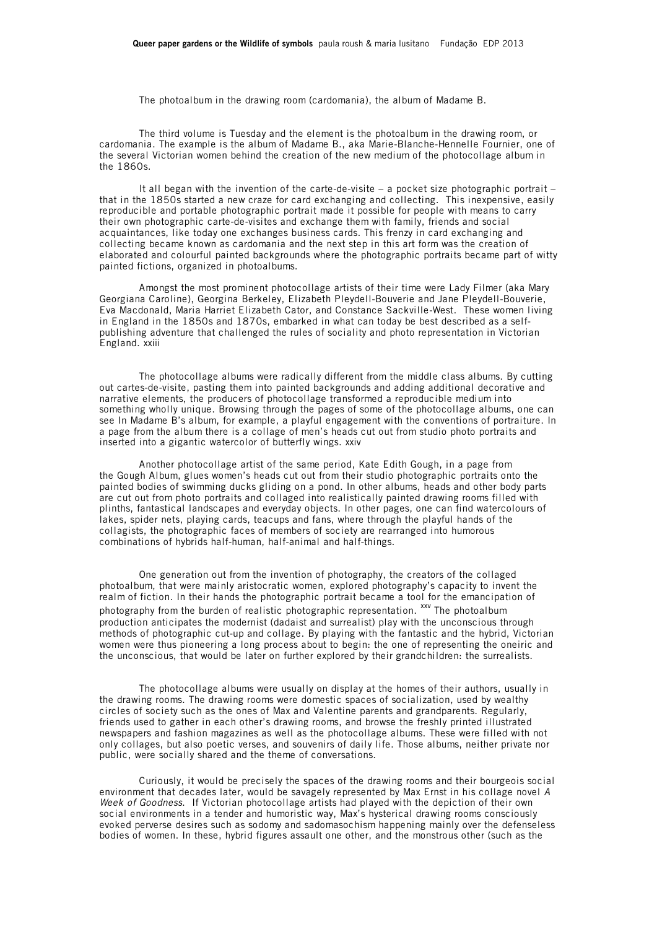The photoalbum in the drawing room (cardomania), the album of Madame B.

The third volume is Tuesday and the element is the photoalbum in the drawing room, or cardomania. The example is the album of Madame B., aka Marie-Blanche-Hennelle Fournier, one of the several Victorian women behind the creation of the new medium of the photocollage album in the 1860s.

It all began with the invention of the carte-de-visite – a pocket size photographic portrait – that in the 1850s started a new craze for card exchanging and collecting. This inexpensive, easily reproducible and portable photographic portrait made it possible for people with means to carry their own photographic carte-de-visites and exchange them with family, friends and social acquaintances, like today one exchanges business cards. This frenzy in card exchanging and collecting became known as cardomania and the next step in this art form was the creation of elaborated and colourful painted backgrounds where the photographic portraits became part of witty painted fictions, organized in photoalbums.

Amongst the most prominent photocollage artists of their time were Lady Filmer (aka Mary Georgiana Caroline), Georgina Berkeley, Elizabeth Pleydell-Bouverie and Jane Pleydell-Bouverie, Eva Macdonald, Maria Harriet Elizabeth Cator, and Constance Sackville-West. These women living in England in the 1850s and 1870s, embarked in what can today be best described as a selfpublishing adventure that challenged the rules of sociality and photo representation in Victorian England. xxiii

The photocollage albums were radically different from the middle class albums. By cutting out cartes-de-visite, pasting them into painted backgrounds and adding additional decorative and narrative elements, the producers of photocollage transformed a reproducible medium into something wholly unique. Browsing through the pages of some of the photocollage albums, one can see In Madame B's album, for example, a playful engagement with the conventions of portraiture. In a page from the album there is a collage of men's heads cut out from studio photo portraits and inserted into a gigantic watercolor of butterfly wings. xxiv

Another photocollage artist of the same period, Kate Edith Gough, in a page from the Gough Album, glues women's heads cut out from their studio photographic portraits onto the painted bodies of swimming ducks gliding on a pond. In other albums, heads and other body parts are cut out from photo portraits and collaged into realistically painted drawing rooms filled with plinths, fantastical landscapes and everyday objects. In other pages, one can find watercolours of lakes, spider nets, playing cards, teacups and fans, where through the playful hands of the collagists, the photographic faces of members of society are rearranged into humorous combinations of hybrids half-human, half-animal and half-things.

One generation out from the invention of photography, the creators of the collaged photoalbum, that were mainly aristocratic women, explored photography's capacity to invent the realm of fiction. In their hands the photographic portrait became a tool for the emancipation of photography from the burden of realistic photographic representation. <sup>xxv</sup> The photoalbum production anticipates the modernist (dadaist and surrealist) play with the unconscious through methods of photographic cut-up and collage. By playing with the fantastic and the hybrid, Victorian women were thus pioneering a long process about to begin: the one of representing the oneiric and the unconscious, that would be later on further explored by their grandchildren: the surrealists.

The photocollage albums were usually on display at the homes of their authors, usually in the drawing rooms. The drawing rooms were domestic spaces of socialization, used by wealthy circles of society such as the ones of Max and Valentine parents and grandparents. Regularly, friends used to gather in each other's drawing rooms, and browse the freshly printed illustrated newspapers and fashion magazines as well as the photocollage albums. These were filled with not only collages, but also poetic verses, and souvenirs of daily life. Those albums, neither private nor public, were socially shared and the theme of conversations.

Curiously, it would be precisely the spaces of the drawing rooms and their bourgeois social environment that decades later, would be savagely represented by Max Ernst in his collage novel *A Week of Goodness*. If Victorian photocollage artists had played with the depiction of their own social environments in a tender and humoristic way, Max's hysterical drawing rooms consciously evoked perverse desires such as sodomy and sadomasochism happening mainly over the defenseless bodies of women. In these, hybrid figures assault one other, and the monstrous other (such as the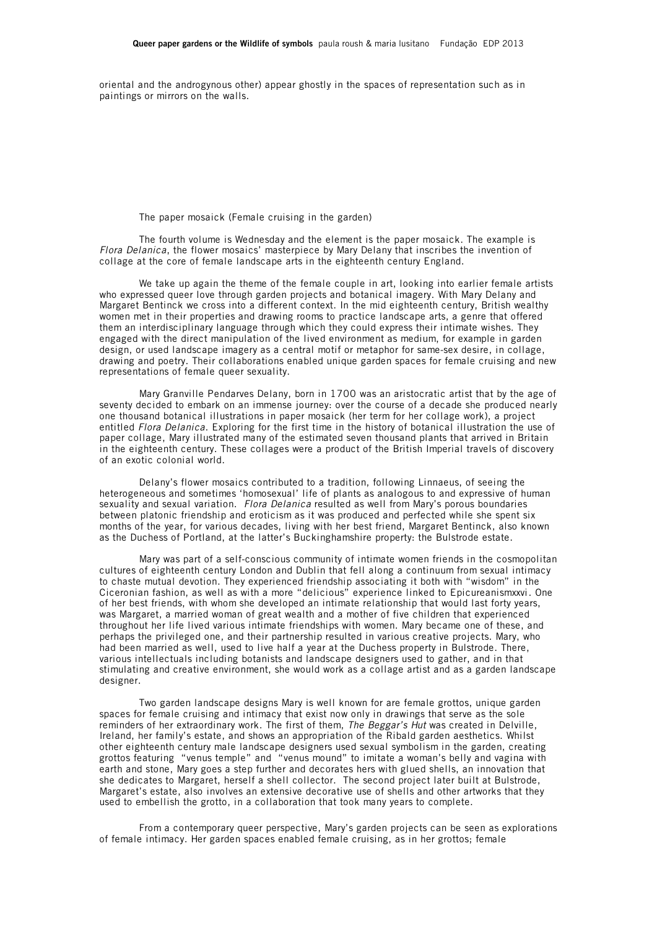oriental and the androgynous other) appear ghostly in the spaces of representation such as in paintings or mirrors on the walls.

The paper mosaick (Female cruising in the garden)

The fourth volume is Wednesday and the element is the paper mosaick. The example is *Flora Delanica*, the flower mosaics' masterpiece by Mary Delany that inscribes the invention of collage at the core of female landscape arts in the eighteenth century England.

We take up again the theme of the female couple in art, looking into earlier female artists who expressed queer love through garden projects and botanical imagery. With Mary Delany and Margaret Bentinck we cross into a different context. In the mid eighteenth century, British wealthy women met in their properties and drawing rooms to practice landscape arts, a genre that offered them an interdisciplinary language through which they could express their intimate wishes. They engaged with the direct manipulation of the lived environment as medium, for example in garden design, or used landscape imagery as a central motif or metaphor for same-sex desire, in collage, drawing and poetry. Their collaborations enabled unique garden spaces for female cruising and new representations of female queer sexuality.

Mary Granville Pendarves Delany, born in 1700 was an aristocratic artist that by the age of seventy decided to embark on an immense journey: over the course of a decade she produced nearly one thousand botanical illustrations in paper mosaick (her term for her collage work), a project entitled *Flora Delanica*. Exploring for the first time in the history of botanical illustration the use of paper collage, Mary illustrated many of the estimated seven thousand plants that arrived in Britain in the eighteenth century. These collages were a product of the British Imperial travels of discovery of an exotic colonial world.

Delany's flower mosaics contributed to a tradition, following Linnaeus, of seeing the heterogeneous and sometimes 'homosexual' life of plants as analogous to and expressive of human sexuality and sexual variation. *Flora Delanica* resulted as well from Mary's porous boundaries between platonic friendship and eroticism as it was produced and perfected while she spent six months of the year, for various decades, living with her best friend, Margaret Bentinck, also known as the Duchess of Portland, at the latter's Buckinghamshire property: the Bulstrode estate.

Mary was part of a self-conscious community of intimate women friends in the cosmopolitan cultures of eighteenth century London and Dublin that fell along a continuum from sexual intimacy to chaste mutual devotion. They experienced friendship associating it both with "wisdom" in the Ciceronian fashion, as well as with a more "delicious" experience linked to Epicureanismxxvi. One of her best friends, with whom she developed an intimate relationship that would last forty years, was Margaret, a married woman of great wealth and a mother of five children that experienced throughout her life lived various intimate friendships with women. Mary became one of these, and perhaps the privileged one, and their partnership resulted in various creative projects. Mary, who had been married as well, used to live half a year at the Duchess property in Bulstrode. There, various intellectuals including botanists and landscape designers used to gather, and in that stimulating and creative environment, she would work as a collage artist and as a garden landscape designer.

Two garden landscape designs Mary is well known for are female grottos, unique garden spaces for female cruising and intimacy that exist now only in drawings that serve as the sole reminders of her extraordinary work. The first of them, *The Beggar's Hut* was created in Delville, Ireland, her family's estate, and shows an appropriation of the Ribald garden aesthetics. Whilst other eighteenth century male landscape designers used sexual symbolism in the garden, creating grottos featuring "venus temple" and "venus mound" to imitate a woman's belly and vagina with earth and stone, Mary goes a step further and decorates hers with glued shells, an innovation that she dedicates to Margaret, herself a shell collector. The second project later built at Bulstrode, Margaret's estate, also involves an extensive decorative use of shells and other artworks that they used to embellish the grotto, in a collaboration that took many years to complete.

From a contemporary queer perspective, Mary's garden projects can be seen as explorations of female intimacy. Her garden spaces enabled female cruising, as in her grottos; female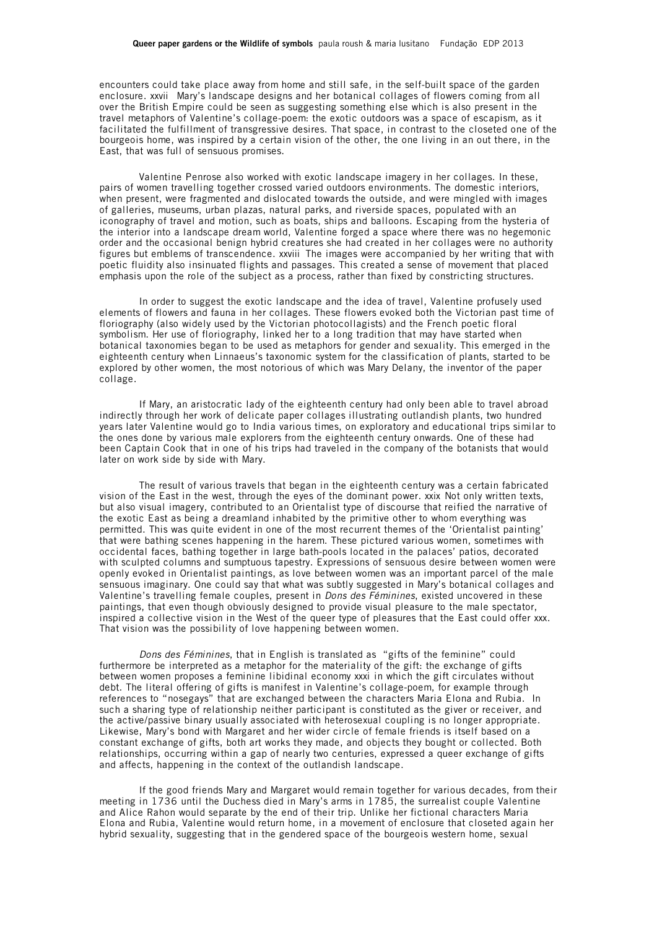encounters could take place away from home and still safe, in the self-built space of the garden enclosure. xxvii Mary's landscape designs and her botanical collages of flowers coming from all over the British Empire could be seen as suggesting something else which is also present in the travel metaphors of Valentine's collage-poem: the exotic outdoors was a space of escapism, as it facilitated the fulfillment of transgressive desires. That space, in contrast to the closeted one of the bourgeois home, was inspired by a certain vision of the other, the one living in an out there, in the East, that was full of sensuous promises.

Valentine Penrose also worked with exotic landscape imagery in her collages. In these, pairs of women travelling together crossed varied outdoors environments. The domestic interiors, when present, were fragmented and dislocated towards the outside, and were mingled with images of galleries, museums, urban plazas, natural parks, and riverside spaces, populated with an iconography of travel and motion, such as boats, ships and balloons. Escaping from the hysteria of the interior into a landscape dream world, Valentine forged a space where there was no hegemonic order and the occasional benign hybrid creatures she had created in her collages were no authority figures but emblems of transcendence. xxviii The images were accompanied by her writing that with poetic fluidity also insinuated flights and passages. This created a sense of movement that placed emphasis upon the role of the subject as a process, rather than fixed by constricting structures.

In order to suggest the exotic landscape and the idea of travel, Valentine profusely used elements of flowers and fauna in her collages. These flowers evoked both the Victorian past time of floriography (also widely used by the Victorian photocollagists) and the French poetic floral symbolism. Her use of floriography, linked her to a long tradition that may have started when botanical taxonomies began to be used as metaphors for gender and sexuality. This emerged in the eighteenth century when Linnaeus's taxonomic system for the classification of plants, started to be explored by other women, the most notorious of which was Mary Delany, the inventor of the paper collage.

If Mary, an aristocratic lady of the eighteenth century had only been able to travel abroad indirectly through her work of delicate paper collages illustrating outlandish plants, two hundred years later Valentine would go to India various times, on exploratory and educational trips similar to the ones done by various male explorers from the eighteenth century onwards. One of these had been Captain Cook that in one of his trips had traveled in the company of the botanists that would later on work side by side with Mary.

The result of various travels that began in the eighteenth century was a certain fabricated vision of the East in the west, through the eyes of the dominant power. xxix Not only written texts, but also visual imagery, contributed to an Orientalist type of discourse that reified the narrative of the exotic East as being a dreamland inhabited by the primitive other to whom everything was permitted. This was quite evident in one of the most recurrent themes of the 'Orientalist painting' that were bathing scenes happening in the harem. These pictured various women, sometimes with occidental faces, bathing together in large bath-pools located in the palaces' patios, decorated with sculpted columns and sumptuous tapestry. Expressions of sensuous desire between women were openly evoked in Orientalist paintings, as love between women was an important parcel of the male sensuous imaginary. One could say that what was subtly suggested in Mary's botanical collages and Valentine's travelling female couples, present in *Dons des Féminines*, existed uncovered in these paintings, that even though obviously designed to provide visual pleasure to the male spectator, inspired a collective vision in the West of the queer type of pleasures that the East could offer xxx. That vision was the possibility of love happening between women.

*Dons des Féminines*, that in English is translated as "gifts of the feminine" could furthermore be interpreted as a metaphor for the materiality of the gift: the exchange of gifts between women proposes a feminine libidinal economy xxxi in which the gift circulates without debt. The literal offering of gifts is manifest in Valentine's collage-poem, for example through references to "nosegays" that are exchanged between the characters Maria Elona and Rubia. In such a sharing type of relationship neither participant is constituted as the giver or receiver, and the active/passive binary usually associated with heterosexual coupling is no longer appropriate. Likewise, Mary's bond with Margaret and her wider circle of female friends is itself based on a constant exchange of gifts, both art works they made, and objects they bought or collected. Both relationships, occurring within a gap of nearly two centuries, expressed a queer exchange of gifts and affects, happening in the context of the outlandish landscape.

If the good friends Mary and Margaret would remain together for various decades, from their meeting in 1736 until the Duchess died in Mary's arms in 1785, the surrealist couple Valentine and Alice Rahon would separate by the end of their trip. Unlike her fictional characters Maria Elona and Rubia, Valentine would return home, in a movement of enclosure that closeted again her hybrid sexuality, suggesting that in the gendered space of the bourgeois western home, sexual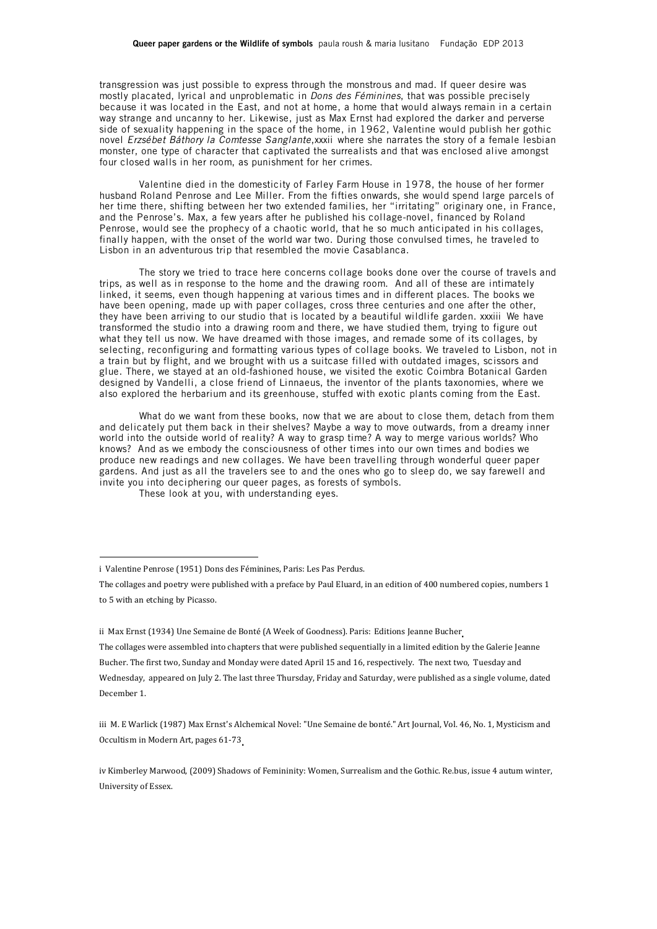transgression was just possible to express through the monstrous and mad. If queer desire was mostly placated, lyrical and unproblematic in *Dons des Féminines*, that was possible precisely because it was located in the East, and not at home, a home that would always remain in a certain way strange and uncanny to her. Likewise, just as Max Ernst had explored the darker and perverse side of sexuality happening in the space of the home, in 1962, Valentine would publish her gothic novel *Erzsébet Báthory la Comtesse Sanglante*,xxxii where she narrates the story of a female lesbian monster, one type of character that captivated the surrealists and that was enclosed alive amongst four closed walls in her room, as punishment for her crimes.

Valentine died in the domesticity of Farley Farm House in 1978, the house of her former husband Roland Penrose and Lee Miller. From the fifties onwards, she would spend large parcels of her time there, shifting between her two extended families, her "irritating" originary one, in France, and the Penrose's. Max, a few years after he published his collage-novel, financed by Roland Penrose, would see the prophecy of a chaotic world, that he so much anticipated in his collages. finally happen, with the onset of the world war two. During those convulsed times, he traveled to Lisbon in an adventurous trip that resembled the movie Casablanca.

The story we tried to trace here concerns collage books done over the course of travels and trips, as well as in response to the home and the drawing room. And all of these are intimately linked, it seems, even though happening at various times and in different places. The books we have been opening, made up with paper collages, cross three centuries and one after the other, they have been arriving to our studio that is located by a beautiful wildlife garden. xxxiii We have transformed the studio into a drawing room and there, we have studied them, trying to figure out what they tell us now. We have dreamed with those images, and remade some of its collages, by selecting, reconfiguring and formatting various types of collage books. We traveled to Lisbon, not in a train but by flight, and we brought with us a suitcase filled with outdated images, scissors and glue. There, we stayed at an old-fashioned house, we visited the exotic Coimbra Botanical Garden designed by Vandelli, a close friend of Linnaeus, the inventor of the plants taxonomies, where we also explored the herbarium and its greenhouse, stuffed with exotic plants coming from the East.

What do we want from these books, now that we are about to close them, detach from them and delicately put them back in their shelves? Maybe a way to move outwards, from a dreamy inner world into the outside world of reality? A way to grasp time? A way to merge various worlds? Who knows? And as we embody the consciousness of other times into our own times and bodies we produce new readings and new collages. We have been travelling through wonderful queer paper gardens. And just as all the travelers see to and the ones who go to sleep do, we say farewell and invite you into deciphering our queer pages, as forests of symbols.

These look at you, with understanding eyes.

 

ii Max Ernst (1934) Une Semaine de Bonté (A Week of Goodness). Paris: Editions Jeanne Bucher

iv Kimberley Marwood, (2009) Shadows of Femininity: Women, Surrealism and the Gothic. Re.bus, issue 4 autum winter, University of Essex.

i Valentine Penrose (1951) Dons des Féminines, Paris: Les Pas Perdus.

The collages and poetry were published with a preface by Paul Eluard, in an edition of 400 numbered copies, numbers 1 to 5 with an etching by Picasso.

The collages were assembled into chapters that were published sequentially in a limited edition by the Galerie Jeanne Bucher. The first two, Sunday and Monday were dated April 15 and 16, respectively. The next two, Tuesday and Wednesday, appeared on July 2. The last three Thursday, Friday and Saturday, were published as a single volume, dated December 1.

iii M. E Warlick (1987) Max Ernst's Alchemical Novel: "Une Semaine de bonté." Art Journal, Vol. 46, No. 1, Mysticism and Occultism in Modern Art, pages 61-73.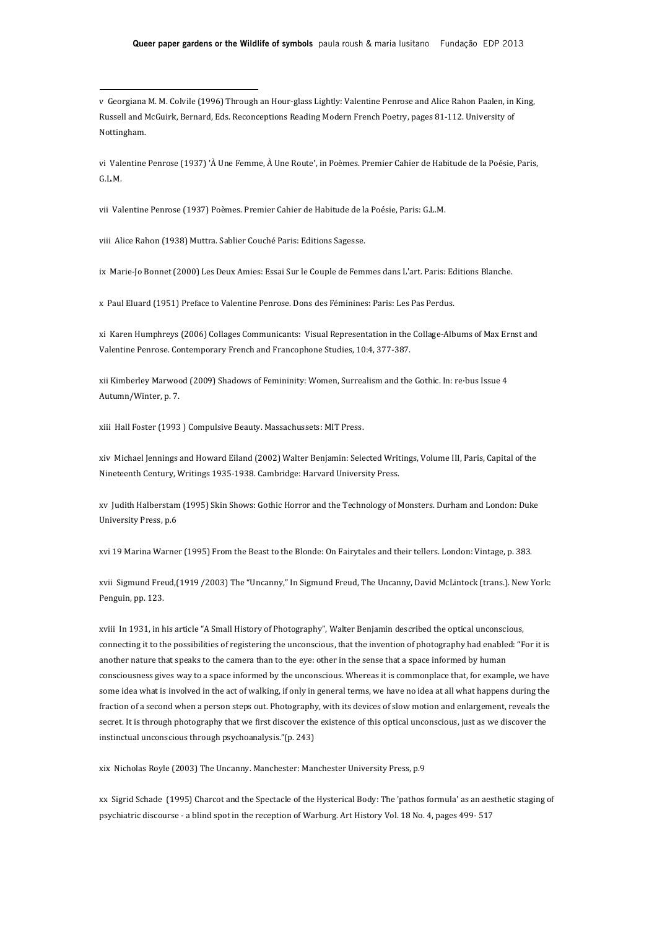v Georgiana M. M. Colvile (1996) Through an Hour-glass Lightly: Valentine Penrose and Alice Rahon Paalen, in King, Russell and McGuirk, Bernard, Eds. Reconceptions Reading Modern French Poetry, pages 81-112. University of Nottingham.

vi Valentine Penrose (1937) 'À Une Femme, À Une Route', in Poèmes. Premier Cahier de Habitude de la Poésie, Paris, G.L.M.

vii Valentine Penrose (1937) Poèmes. Premier Cahier de Habitude de la Poésie, Paris: G.L.M.

viii Alice Rahon (1938) Muttra. Sablier Couché Paris: Editions Sagesse.

 

ix Marie-Jo Bonnet (2000) Les Deux Amies: Essai Sur le Couple de Femmes dans L'art. Paris: Editions Blanche.

x Paul Eluard (1951) Preface to Valentine Penrose. Dons des Féminines: Paris: Les Pas Perdus.

xi Karen Humphreys (2006) Collages Communicants: Visual Representation in the Collage-Albums of Max Ernst and Valentine Penrose. Contemporary French and Francophone Studies, 10:4, 377-387.

xii Kimberley Marwood (2009) Shadows of Femininity: Women, Surrealism and the Gothic. In: re·bus Issue 4 Autumn/Winter, p. 7.

xiii Hall Foster (1993) Compulsive Beauty. Massachussets: MIT Press.

xiv Michael Jennings and Howard Eiland (2002) Walter Benjamin: Selected Writings, Volume III, Paris, Capital of the Nineteenth Century, Writings 1935-1938. Cambridge: Harvard University Press.

xv Judith Halberstam (1995) Skin Shows: Gothic Horror and the Technology of Monsters. Durham and London: Duke University Press, p.6

xvi 19 Marina Warner (1995) From the Beast to the Blonde: On Fairytales and their tellers. London: Vintage, p. 383.

xvii Sigmund Freud,(1919 /2003) The "Uncanny," In Sigmund Freud, The Uncanny, David McLintock (trans.). New York: Penguin, pp. 123.

xviii In 1931, in his article "A Small History of Photography", Walter Benjamin described the optical unconscious, connecting it to the possibilities of registering the unconscious, that the invention of photography had enabled: "For it is another nature that speaks to the camera than to the eye: other in the sense that a space informed by human consciousness gives way to a space informed by the unconscious. Whereas it is commonplace that, for example, we have some idea what is involved in the act of walking, if only in general terms, we have no idea at all what happens during the fraction of a second when a person steps out. Photography, with its devices of slow motion and enlargement, reveals the secret. It is through photography that we first discover the existence of this optical unconscious, just as we discover the instinctual unconscious through psychoanalysis."(p. 243)

xix Nicholas Royle (2003) The Uncanny. Manchester: Manchester University Press, p.9

xx Sigrid Schade (1995) Charcot and the Spectacle of the Hysterical Body: The 'pathos formula' as an aesthetic staging of psychiatric discourse - a blind spot in the reception of Warburg. Art History Vol. 18 No. 4, pages 499- 517